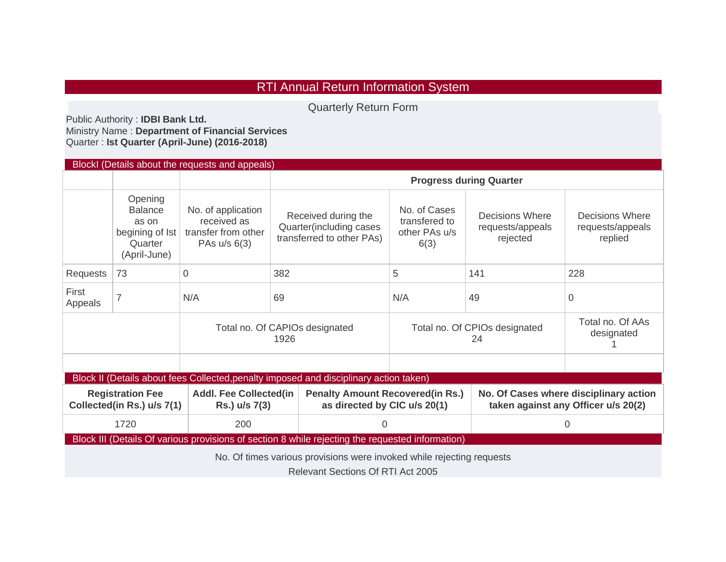## RTI Annual Return Information System

Quarterly Return Form

Public Authority : **IDBI Bank Ltd.**  Ministry Name : **Department of Financial Services**  Quarter : **Ist Quarter (April-June) (2016-2018)**

| <b>Blockl (Details about the requests and appeals)</b>                                                            |                                                                                  |                                                                          |                                                                             |                                                                          |                                                        |                                                                               |                                                |  |  |  |  |
|-------------------------------------------------------------------------------------------------------------------|----------------------------------------------------------------------------------|--------------------------------------------------------------------------|-----------------------------------------------------------------------------|--------------------------------------------------------------------------|--------------------------------------------------------|-------------------------------------------------------------------------------|------------------------------------------------|--|--|--|--|
|                                                                                                                   |                                                                                  |                                                                          | <b>Progress during Quarter</b>                                              |                                                                          |                                                        |                                                                               |                                                |  |  |  |  |
|                                                                                                                   | Opening<br><b>Balance</b><br>as on<br>begining of Ist<br>Quarter<br>(April-June) | No. of application<br>received as<br>transfer from other<br>PAs u/s 6(3) | Received during the<br>Quarter(including cases<br>transferred to other PAs) |                                                                          | No. of Cases<br>transfered to<br>other PAs u/s<br>6(3) | Decisions Where<br>requests/appeals<br>rejected                               | Decisions Where<br>requests/appeals<br>replied |  |  |  |  |
| Requests                                                                                                          | 73                                                                               | $\Omega$                                                                 | 382                                                                         |                                                                          | 5                                                      | 141                                                                           | 228                                            |  |  |  |  |
| First<br>Appeals                                                                                                  | $\overline{7}$                                                                   | N/A                                                                      | 69                                                                          |                                                                          | N/A                                                    | 49                                                                            | $\Omega$                                       |  |  |  |  |
|                                                                                                                   |                                                                                  |                                                                          | Total no. Of CAPIOs designated                                              | Total no. Of CPIOs designated                                            | Total no. Of AAs<br>designated                         |                                                                               |                                                |  |  |  |  |
|                                                                                                                   |                                                                                  |                                                                          |                                                                             |                                                                          |                                                        |                                                                               |                                                |  |  |  |  |
| Block II (Details about fees Collected, penalty imposed and disciplinary action taken)                            |                                                                                  |                                                                          |                                                                             |                                                                          |                                                        |                                                                               |                                                |  |  |  |  |
|                                                                                                                   | <b>Registration Fee</b><br>Collected(in Rs.) u/s 7(1)                            | <b>Addl. Fee Collected(in</b><br>Rs.) u/s 7(3)                           |                                                                             | <b>Penalty Amount Recovered (in Rs.)</b><br>as directed by CIC u/s 20(1) |                                                        | No. Of Cases where disciplinary action<br>taken against any Officer u/s 20(2) |                                                |  |  |  |  |
|                                                                                                                   | 1720                                                                             | 200                                                                      |                                                                             | 0                                                                        |                                                        |                                                                               | 0                                              |  |  |  |  |
| Block III (Details Of various provisions of section 8 while rejecting the requested information)                  |                                                                                  |                                                                          |                                                                             |                                                                          |                                                        |                                                                               |                                                |  |  |  |  |
| No. Of times various provisions were invoked while rejecting requests<br><b>Relevant Sections Of RTI Act 2005</b> |                                                                                  |                                                                          |                                                                             |                                                                          |                                                        |                                                                               |                                                |  |  |  |  |